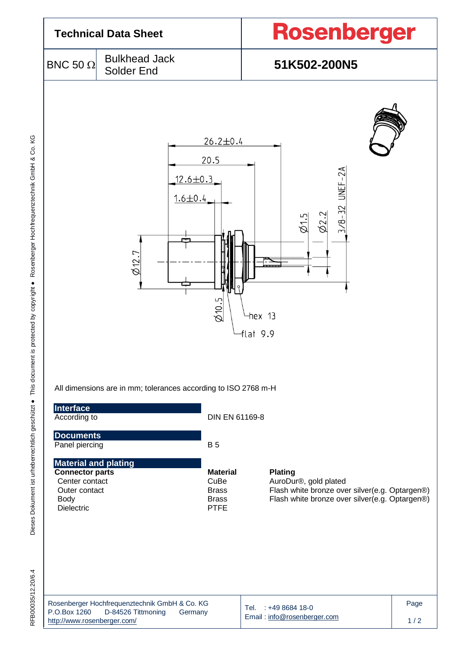| <b>Technical Data Sheet</b>        |                                                                |                                 | Rosenberger                                                                           |  |  |
|------------------------------------|----------------------------------------------------------------|---------------------------------|---------------------------------------------------------------------------------------|--|--|
| BNC 50 $\Omega$                    | <b>Bulkhead Jack</b><br>Solder End                             |                                 | 51K502-200N5                                                                          |  |  |
|                                    | $12.6 \pm 0.3$<br>$1.6 \pm 0.4$<br>$\varphi$ 12.7              | $26.2 \pm 0.4$<br>20.5<br>610.5 | 3/8-32 UNEF-2A<br>$\varphi$ 2.2<br>$\overline{\mathcal{Q}}$ 1.5<br>hex 13<br>flat 9.9 |  |  |
| Interface                          | All dimensions are in mm; tolerances according to ISO 2768 m-H |                                 |                                                                                       |  |  |
| According to                       |                                                                | DIN EN 61169-8                  |                                                                                       |  |  |
| <b>Documents</b><br>Panel piercing |                                                                | <b>B</b> 5                      |                                                                                       |  |  |